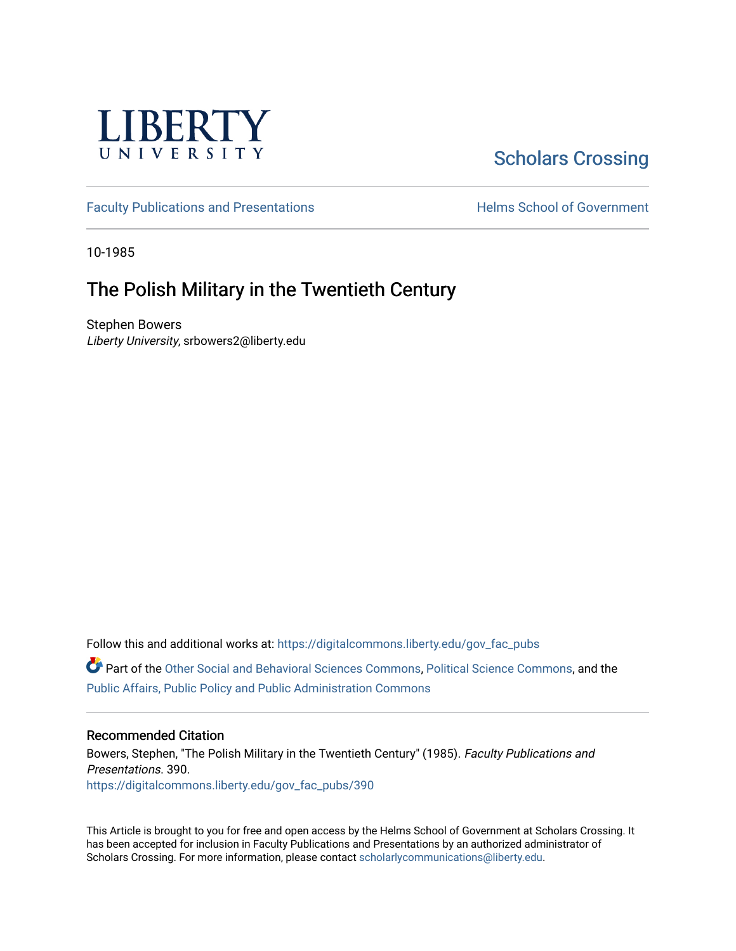

# [Scholars Crossing](https://digitalcommons.liberty.edu/)

[Faculty Publications and Presentations](https://digitalcommons.liberty.edu/gov_fac_pubs) **Exercise School of Government** 

10-1985

## The Polish Military in the Twentieth Century

Stephen Bowers Liberty University, srbowers2@liberty.edu

Follow this and additional works at: [https://digitalcommons.liberty.edu/gov\\_fac\\_pubs](https://digitalcommons.liberty.edu/gov_fac_pubs?utm_source=digitalcommons.liberty.edu%2Fgov_fac_pubs%2F390&utm_medium=PDF&utm_campaign=PDFCoverPages)

Part of the [Other Social and Behavioral Sciences Commons](http://network.bepress.com/hgg/discipline/437?utm_source=digitalcommons.liberty.edu%2Fgov_fac_pubs%2F390&utm_medium=PDF&utm_campaign=PDFCoverPages), [Political Science Commons](http://network.bepress.com/hgg/discipline/386?utm_source=digitalcommons.liberty.edu%2Fgov_fac_pubs%2F390&utm_medium=PDF&utm_campaign=PDFCoverPages), and the [Public Affairs, Public Policy and Public Administration Commons](http://network.bepress.com/hgg/discipline/393?utm_source=digitalcommons.liberty.edu%2Fgov_fac_pubs%2F390&utm_medium=PDF&utm_campaign=PDFCoverPages)

### Recommended Citation

Bowers, Stephen, "The Polish Military in the Twentieth Century" (1985). Faculty Publications and Presentations. 390. [https://digitalcommons.liberty.edu/gov\\_fac\\_pubs/390](https://digitalcommons.liberty.edu/gov_fac_pubs/390?utm_source=digitalcommons.liberty.edu%2Fgov_fac_pubs%2F390&utm_medium=PDF&utm_campaign=PDFCoverPages)

This Article is brought to you for free and open access by the Helms School of Government at Scholars Crossing. It has been accepted for inclusion in Faculty Publications and Presentations by an authorized administrator of Scholars Crossing. For more information, please contact [scholarlycommunications@liberty.edu.](mailto:scholarlycommunications@liberty.edu)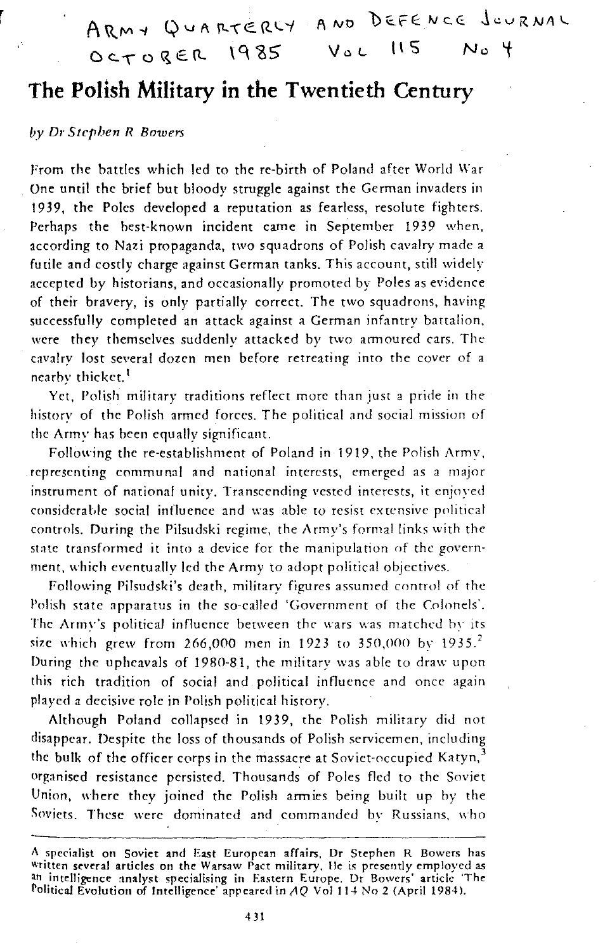ARMY QUARTERLY AND DEFENCE JOURNAL OCTORER 1985 VaL **ll5 No i** 

## **The Polish Military in the Twentieth Century**

### by Dr Stephen R Bowers

From the battles which led to the re-birth of Poland after World War One until the brief but bloody struggle against the German invaders in 19 39, the Poles developed a reputation as fearless, resolute fighters. Perhaps the best-known incident came in September 1939 when, according to Nazi propaganda, two squadrons of Polish cavalry made a futile and costly charge against German tanks. This account, still widely accepted by historians, and occasionally promoted by Poles as evidence of their bravery, is only partially correct. The two squadrons, having successfully completed an attack against a German infantry battalion, were they themselves suddenly attacked by two armoured cars. The cavalry lost several dozen men before retreating into the cover of a nearby thicket.<sup>1</sup>

Yet, Polish military traditions reflect more than just a pride in the history of the Polish armed forces. The political and social mission of the Army has been equally significant.

Following the re-establishment of Poland in 1919, the Polish Armv, representing communal and national interests, emerged as a major instrument of national unity. Transcending vested interests, it enjoyed considerable social influence and was able to resist extensive political controls. During the Pilsudski regime, the Army's formal links with the state transformed it into a device for the manipulation of the government, which eventually led the Army to adopt political objectives.

Following Pilsudski's death, military figures assumed control of the Polish state apparatus in the so-called 'Government of the Colonels'. The Army's political influence between the wars was matched by its size which grew from 266,000 men in 1923 to 350,000 by 1935.<sup>2</sup> During the upheavals of 1980-81, the military was able to draw upon this rich tradition of social and political influence and once again played a decisive role in Polish political history.

Although Poland collapsed in 1939, the Polish military did not disappear. Despite the loss of thousands of Polish servicemen, including the bulk of the officer corps in the massacre at Soviet-occupied Katyn, $3$ organised resistance persisted. Thousands of Poles fled to the Soviet Union, where they joined the Polish armies being built up hy the Soviets. These were dominated and commanded by Russians, who

A specialist on Soviet and East European affairs, Dr Stephen R Bowers has<br><sup>writte</sup>n several articles on the Warsaw Pact military. He is presently employed as an intelligence analyst specialising in Eastern Europe. Dr Bowers' article 'The Political Evolution of Intelligence' appeared in  $AQ$  Vol 114 No 2 (April 1984).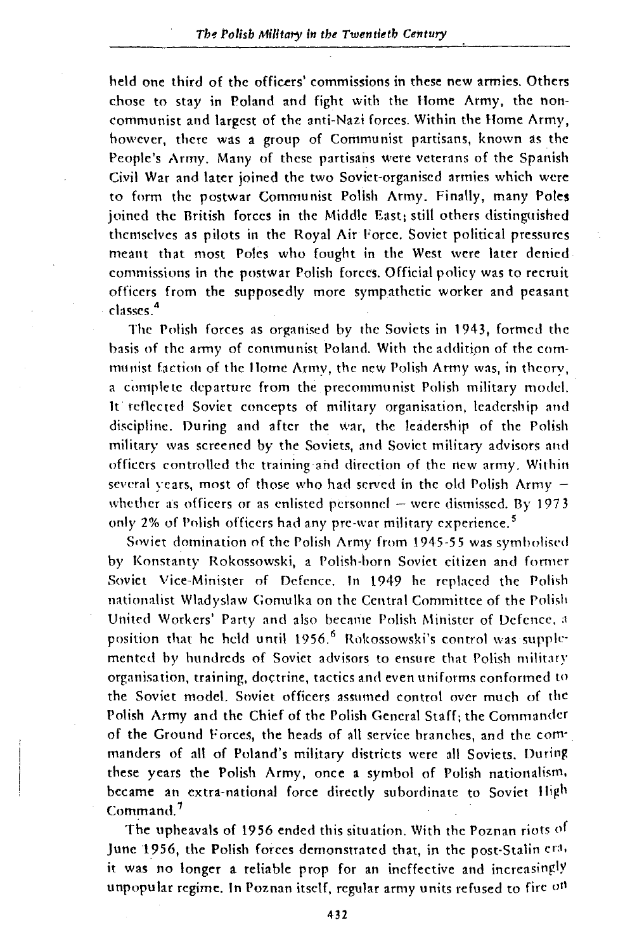held one third of the officers' commissions in these new armies. Others chose to stay in Poland and fight with the Home Army, the noncommunist and largest of the anti-Nazi forces. Within the Home Army, however, there was a group of Communist partisans, known as the People's Army. Many of these partisans were veterans of the Spanish Civil War and later joined the two Soviet-organised armies which were to form the postwar Communist Polish Army. Finally, many Poles joined the British forces in the Middle East: still others distinguished themselves as pilots in the Royal Air Force. Soviet political pressures meant that most Poles who fought in the West were later denied commissions in the postwar Polish forces. Official policy was to recruit officers from the supposedly more sympathetic worker and peasant classes.<sup>4</sup>

The Polish forces as organised by the Soviets in 1943, formed the basis of the army of communist Poland. With the addition of the communist faction of the llome Army, the new Polish Army was, in theory, a complete departure from the precommunist Polish military model. It reflected Soviet concepts of military organisation, leadership and discipline. Ouring and after the war, the leadership of the Polish military was screened by the Soviets, and Soviet military advisors and officers controlled the training and direction of the new army. Within several years, most of those who had served in the old Polish Army  $$ whether as officers or as enlisted personnel  $-$  were dismissed. By 1973 only 2% of Polish officers had any pre-war military experience. 5

Soviet domination of the Polish Army from 1945-55 was symbolised by Konstanty Rokossowski, a Polish-born Soviet citizen and fonner Soviet Vice-Minister of Defence. In 1949 he replaced the Polish nationalist Wladyslaw Gomulka on the Central Committee of the Polish United Workers' Party and also became Polish Minister of Defence, a position that he held until 1956.<sup>6</sup> Rokossowski's control was supplemented by hundreds of Soviet advisors to ensure that Polish military organisation, training, doctrine, tactics and *even* uniforms conformed to the Soviet model. Soviet officers assumed control over much of the Polish Army and the Chief of the Polish General Staff: the Commander of the Ground Forces, the heads of all service branches, and the commanders of all of Poland's military districts were all Soviets. During these years the Polish Army, *once* a symbol of Polish nationalism. became an extra-national force directly subordinate to Soviet High Command. <sup>7</sup>

The upheavals of 1956 ended this situation. With the Poznan riots of June 1956, the Polish forces demonstrated that, in the post-Stalin era. it was no longer a reliable prop for an ineffective and increasingly unpopular regime. In Poznan itself, regular army units refused to fire on

432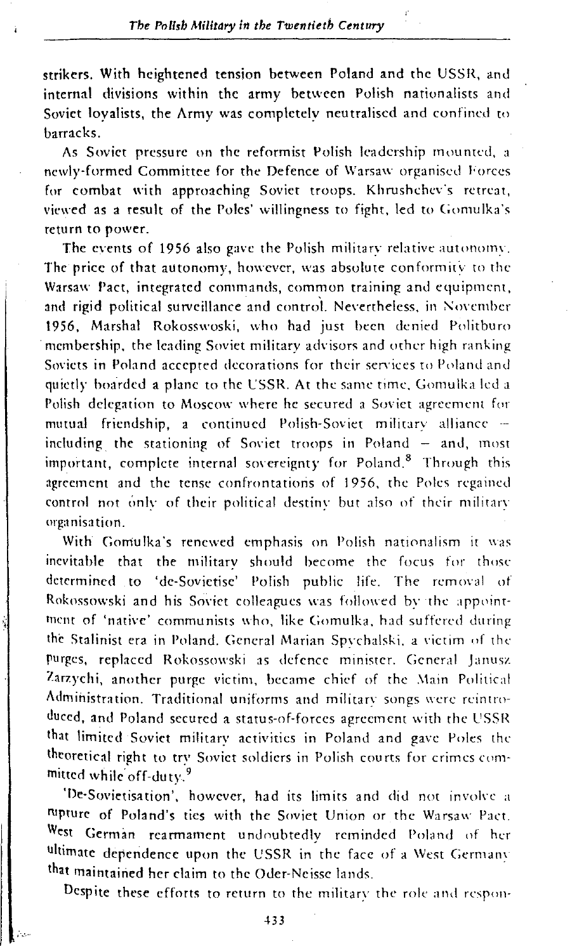strikers. With heightened tension between Poland and the USSR, and internal divisions within the army between Polish nationalists and Soviet loyalists, the Army was completely neutralised and confined to barracks.

As Soviet pressure on the reformist Polish leadership mounted, a newly-formed Committee for the Defence of Warsaw organised Forces for combat with approaching Soviet troops. Khrushchev's retreat, viewed as a result of the Poles' willingness to fight, led to Gomulka's return to power.

The events of 1956 also gave the Polish military relative autonomy. The price of that autonomy, however, was absolute conformity to the Warsaw Pact, integrated commands, common training and equipment, and rigid political surveillance and control. Nevertheless, in November 1956, Marshal Rokosswoski, who had just been denied Politburo membership, the leading Soviet military advisors and other high ranking Soviets in Poland accepted decorations for their services to Poland and quietly boarded a plane to the L'SSR. At the same time. Gomulka led a Polish delegation to Moscow where he secured a Soviet agreement for mutual friendship, a continued Polish-Soviet military alliance - including the stationing of Soviet troops in Poland  $-$  and, most important, complete internal sovereignty for Poland.<sup>8</sup> Through this agreement and the tense confrontations of 1956, the Poles regained control not only of their political destiny but also of their military organisation.

With Gomulka's renewed emphasis on Polish nationalism it was inevitable that the militarv should become the focus for those determined to 'de-Sovietise' Polish public life. The removal of Rokossowski and his Soviet colleagues was followed by the appointment of 'native' communists who, like Gomulka, had suffered during the Stalinist era in Poland. General Marian Spychalski, a victim of the purges, rephced Rokossowski as defence minister. General Janusz Zarzychi, another purge victim, became chief of the Main Political Administration. Traditional uniforms and military songs were reintroduced, and Poland secured a status-of-forces agreement with the USSR that limited Soviet military activities in Poland and gave Poles the theoretical right to try Soviet soldiers in Polish courts for crimes committed while off-duty.<sup>9</sup>

'De-Sovietisation', however, had its limits and did not involve a rupture of Poland's ties with the Soviet Union or the Warsaw Pact. West German rearmament undoubtedly reminded Poland of her ultimate dependence upon the USSR in the face of a West Germany that maintained her claim to the Oder·Neissc lands.

Despite these efforts to return to the military the role and respon-

*,··.:.··*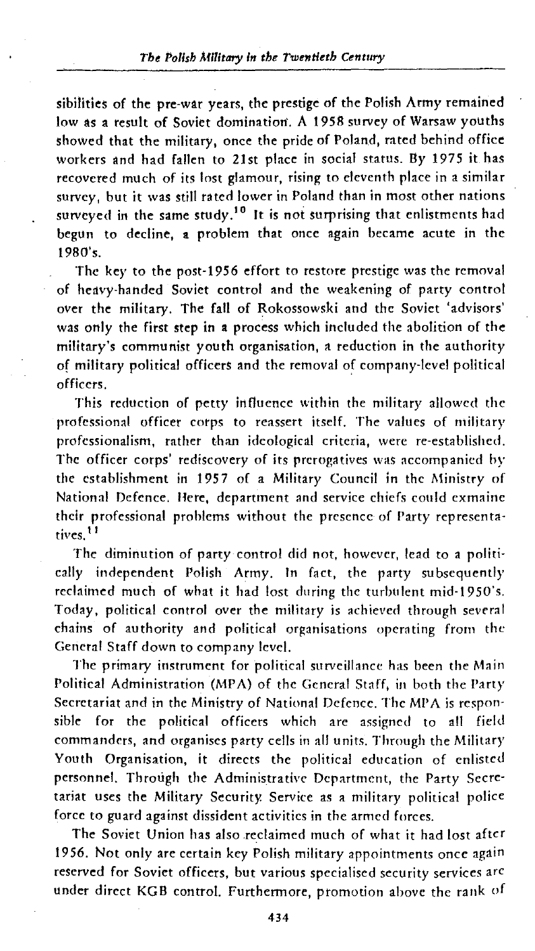sibilities of the pre-war years, the prestige of the Polish Army remained low as a result of Soviet domination. A 1958 survey of Warsaw youths showed that the military, once the pride of Poland, rated behind office workers and had fallen to 21st place in social status. By 1975 it has recovered much of its lost glamour, rising to eleventh place in a similar survey, but it was still rated lower in Poland than in most other nations surveyed in the same study.<sup>10</sup> It is not surprising that enlistments had begun to decline, a problem that once again became acute in the 1980's.

The key to the post-1956 effort to restore prestige was the removal of heavy-handed Soviet control and the weakening of party control over the military. The fall of Rokossowski and the Soviet 'advisors' was only the first step in a process which included the abolition of the military's communist youth organisation, a reduction in the authority of military political officers and the removal of company-level political officers.

This reduction of petty influence within the military allowed the professional officer corps to reassert itself. The values of military professionalism, rather than ideological criteria, were re-established. The officer corps' rediscovery of its prerogatives was accompanied by the establishment in 1957 of a Military Council in the Ministry of National Defence. Here, department and service chiefs could exmaine their professional problems without the presence of Party representatives.<sup>11</sup>

The diminution of party control did not, however, lead to a politically independent Polish Army. In fact, the party subsequently reclaimed much of what it had lost during the turbulent mid-1950's. Today, political control over the military is achieved through several chains of authority and political organisations operating from the General Staff down to company level.

The primary instrument for political surveillance has been the Main Political Administration (MPA) of the General Staff, in both the Party Secretariat and in the Ministry of National Defence. The MPA is responsible for the political officers which are assigned to all field commanders, and organises party cells in all units. Through the Military Youth Organisation, it directs the political education of enlisted personnel. Through the Administrative Department, the Party Secretariat uses the Military Security. SetVice as a military political police force to guard against dissident activities in the armed forces.

The Soviet Union has also .reclaimed much of what it had lost after 19 56. Not only are certain key Polish military appointments once again reserved for Soviet officers, but various specialised security services arc under direct KGB control. Furthermore, promotion above the rank of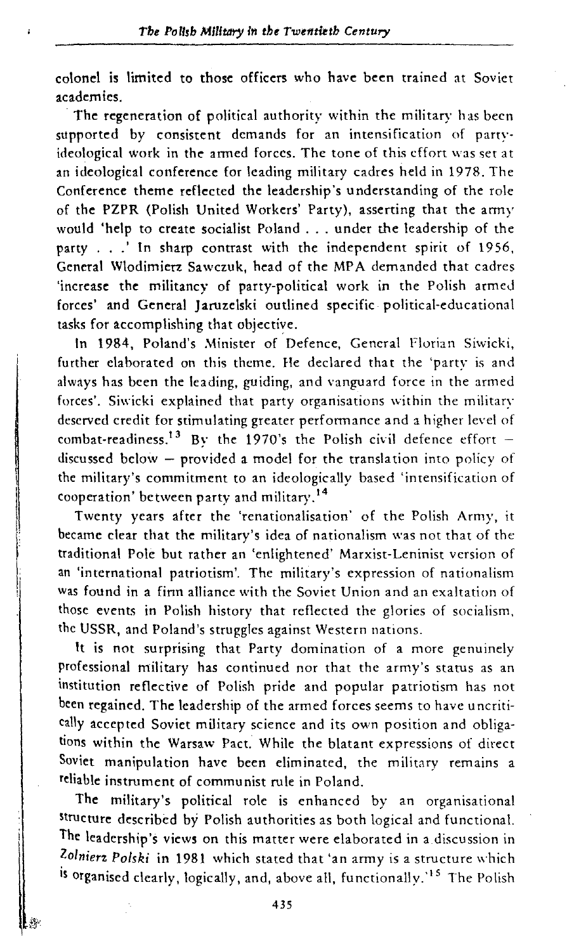colonel is limited to those officers who have been trained at Soviet academics.

The regeneration of political authority within the military has been supported by consistent demands for an intensification of partyideological work in the armed forces. The tone of this effort was set at an ideological conference for leading military cadres held in 1978. The Conference theme reflected the leadership's understanding of the role of the PZPR (Polish United Workers' Party), asserting that the army would 'help to create socialist Poland ... under the leadership of the party . . .' In sharp contrast with the independent spirit of 1956. General Wlodimierz Sawczuk, head of the MP A demanded that cadres 'increase the militancy of party-political work in the Polish armed forces' and General Jaruzelski outlined specific political-educational tasks for accomplishing that objective.

In 1984, Poland's Minister of Defence, General Florian Siwicki, further elaborated on this theme. He declared that the 'party is and always has been the leading, guiding, and vanguard force in the armed forces'. Siwicki explained that party organisations within the military deserved credit for stimulating greater performance and a higher level of combat-readiness.<sup>13</sup> By the 1970's the Polish civil defence effort discussed below  $-$  provided a model for the translation into policy of the military's commitment to an ideologically based 'intensification of cooperation' between party and military. <sup>14</sup>

Twenty years after the 'renationalisation' of the Polish Army, it became clear that the military's idea of nationalism was not that of the traditional Pole but rather an 'enlightened' Marxist-Leninist version of an 'international patriotism'. The military's expression of nationalism was found in a finn alliance with the Soviet Union and an exaltation of those events in Polish history that reflected the glories of socialism. the USSR, and Poland's struggles against Western nations.

It is not surprising that Party domination of a more genuinely professional military has continued nor that the army's status as an institution reflective of Polish pride and popular patriotism has not been regained. The leadership of the armed forces seems to have u ncritically accepted Soviet military science and its own position and obligations within the Warsaw Pact. While the blatant expressions of direct Soviet manipulation have been eliminated, the military remains a reliable instrument of communist rule in Poland.

The military's political role is enhanced by an organisational Structure described by Polish authorities as both logical and functionaL The leadership's views on this matter were elaborated in a discussion in *Zolnierz Polski* in 1981 which stated that 'an army is a structure which is organised clearly, logically, and, above all, functionally.<sup>15</sup> The Polish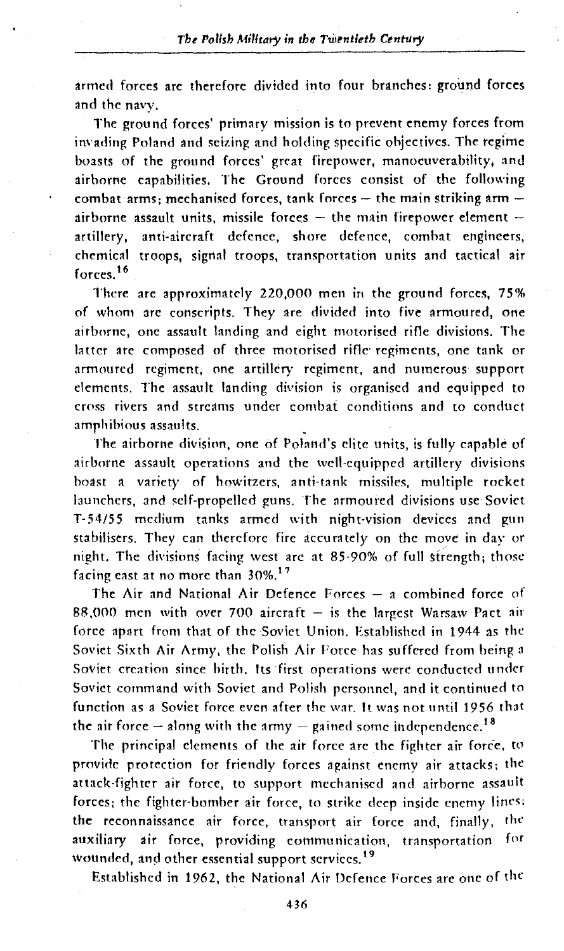armed forces are therefore divided into four branches: ground forces and the navy.

The ground forces' primary mission is to prevent enemy forces from invading Poland and seizing and holding specific objectives. The regime boasts of the ground forces' great firepower, manocuverahility, and airborne capabilities. The Ground forces consist of the following combat arms; mechanised forces, tank forces  $-$  the main striking arm  $$ airborne assault units, missile forces  $-$  the main firepower element  $$ arti11ery, anti-aircraft defence, shore defence, combat engineers, chemical troops, signal troops, transportation units and tactical air forces. <sup>16</sup>

There arc approximately 220,000 men in the ground forces, 75% of whom arc conscripts. They are divided into five armoured, one airborne, one assault landing and eight motoriscd rifle divisions. The latter arc composed of three motoriscd rifle· regiments, one tank or armoured regiment, one artillery regiment, and numerous support clements. The assault landing division is organised and equipped to crn5s rivers and streams under combat conditions and to conduct amphibious assaults.

The airborne division, one of Poland's elite units, is fully capable of airborne assault operations and the well-equipped artillery divisions boast a variety of howitzers, anti-tank missiles, multiple rocket launchers, and self-propelled guns. The armoured divisions use Soviet T-54/55 medium tanks armed with night-vision devices and gun stabilisers. They can therefore fire accurately on the move in day or night. The divisions facing west are at 85-90% of full strength; those facing cast at no more than 30%. <sup>17</sup>

The Air and National Air Defence Forces  $-$  a combined force of 88,000 men with over 700 aircraft  $-$  is the largest Warsaw Pact air force apart from that of the Soviet Union. Established in 1944 as the Soviet Sixth Air Army, the Polish Air Force has suffered from being a Soviet creation since hirth. Its first operations were conducted under Soviet command with Soviet and Polish personnel, and it continued to function as a Soviet force even after the war. It was not until 1956 that the air force  $-$  along with the army  $-$  gained some independence.<sup>18</sup>

The principal clements of the air force are the fighter air force, to provide protection for friendly forces against enemy air attacks; the attack-fighter air force, to support mechanised and airborne assault forces; the fighter-bomber air force, to strike deep inside enemy lines: the reconnaissance air force, transport air force and, finally, rhc auxiliary air force, providing communication, transportation for wounded, and other essential support services.<sup>19</sup>

Established in 1962, the National Air Defence Forces are one of the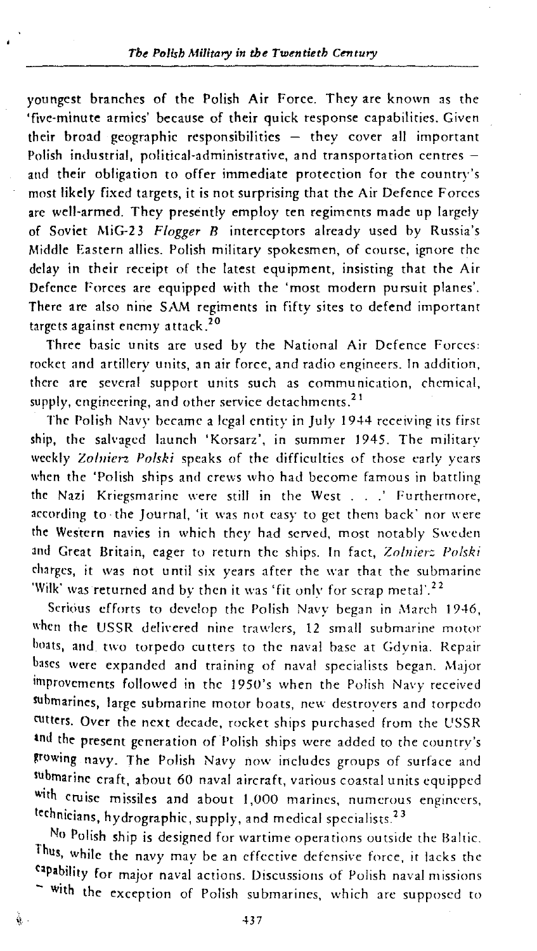youngest branches of the Polish Air Force. They are known as the 'five-minute armies' because of their quick response capabilities. Given their broad geographic responsibilities  $-$  they cover all important Polish industrial, political-administrative, and transportation centres and their obligation to offer immediate protection for the country's most likely fixed targets, it is not surprising that the Air Defence F orccs arc well-armed. They presently employ ten regiments made up largely of Soviet MiG-2 3 *Flogger B* interceptors already used by Russia's Middle Eastern allies. Polish military spokesmen, of course, ignore the delay in their receipt of the latest equipment, insisting that the Air Defence Forces are equipped with the 'most modern pursuit planes'. There arc also nine SAM regiments in fifty sites to defend important targets against enemy attack.<sup>20</sup>

Three basic units are used by the National Air Defence Forces: rocket and artillery units, an air force, and radio engineers. In addition, there are several support units such as communication, chemical, supply, engineering, and other service detachments.<sup>21</sup>

The Polish Navy became a legal entity in July 1944 receiving its first ship, the salvaged launch 'Korsarz', in summer 1945. The military weekly Zolnierz Polski speaks of the difficulties of those early years when the 'Polish ships and crews who had become famous in battling the Nazi Kriegsmarine were still in the West . . . ' Furthermore, according to the Journal, 'it was not easy to get them back' nor were the Western navies in which they had served, most notably Sweden and Great Britain, eager to return the ships. In fact, *Znlnier: Polski*  charges, it was not until six years after the war that the submarine 'Wilk' was returned and by then it was 'fit only for scrap metal'.<sup>22</sup>

Serious efforts to develop the Polish Navy began in March 1946, when the USSR delivered nine trawlers, 12 small submarine motor boats, and two torpedo cutters to the naval base at Gdynia. Repair bases were expanded and training of naval specialists began. Major improvements followed in the 1950's when the Polish Navy received submarines, large submarine motor boats, new destroyers and torpedo cutters. Over the next decade, rocket ships purchased from the USSR and the present generation of Polish ships were added to the countrv's growing navy. The Polish Navy now includes groups of surface and submarine craft, about 60 naval aircraft, various coastal units equipped with cruise missiles and about 1,000 marines, numerous engineers, technicians, hydrographic, supply, and medical specialists.<sup>23</sup>

No Polish ship is designed for wartime operations outside the Baltic. Thus, while the navy may be an effective defensive force, it lacks the npability for major naval actions. Discussions of Polish naval missions - With the exception of Polish submarines, which are supposed to

437

 $\hat{\mathbf{u}}$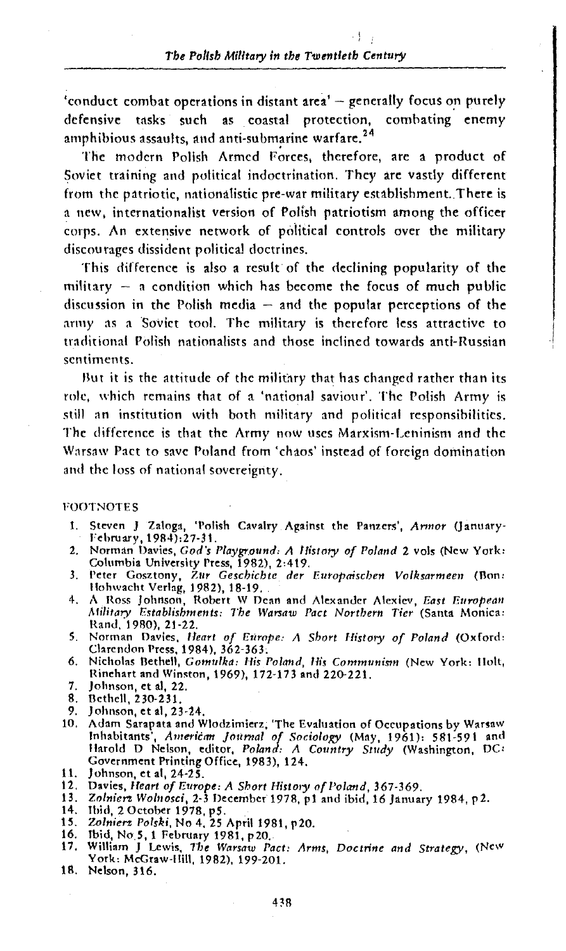'conduct combat operations in distant area'  $-$  generally focus on purely defensive tasks such as coastal protection, combating enemy amphibious assaults, and anti-submarine warfare.  $24$ 

The modern Polish Armed Forces, therefore, are a product of Soviet training and political indoctrination. They are vastly different from the patriotic, nationalistic pre-war military establishment. There is a new, internationalist version of Polish patriotism among the officer corps. An extensive network of political controls over the military discourages dissident political doctrines.

This difference is also a result of the declining popularity of the military  $-$  a condition which has become the focus of much public discussion in the Polish media  $-$  and the popular perceptions of the army as a Soviet tool. The military is therefore less attractive to traditional Polish nationalists and those inclined towards anti-Russian sentiments.

But it is the attitude of the military that has changed rather than its role, which remains that of a 'national saviour'. The Polish Army is still an institution with both military and political responsibilities. The difference is that the Army now uses Marxism- Leninism and the Warsaw Pact to save Poland from 'chaos' instead of foreign domination and the loss of national sovereignty.

#### FOOTNOTES

- 1. Steven J Zaloga, 'Polish Cavalry Against the Panzers', Armor (January-<br>February, 1984):27-31.
- 2. Norman Uavies, *God's Playground: A History of Poland* 2 vols (New York: Columbia University Press, 1982), 2:419.
- 3. Peter Gosztony, Zur *Geschichte der Europaischen Volksarmeen* (Bon: Hohwacht Verlag, 1982), 18-19.
- 4. A Ross Johnson, Robert W Dean and Alexander Alexiev, *East European Military Establishments: The Warsaw Pact Northern Tier (Santa Monica:* Rand, 1980), 21-22.
- 5. Norman Davies, *Heart of Europe: A Short History of Poland* (Oxford: Clarendon Press, 1984), 362-363:
- 6. Nicholas flethell, *Gomulka:* His *Polmtd, 1/is Communism* (New York: llolt, Rinehart and Winston, 1969), 172-173 and 220-221.
- 
- 
- 7. Johnson, et al, 22.<br>8. Bethell, 230-231.<br>9. Johnson, et al, 23-24.
- 10. Adam Sarapata and Wlodzimierz, 'The Evaluation of Occupations by Warsaw<br>Inhabitants', *American Journal of Sociology* (May, 1961): 581-591 and Harold D Nelson, editor, *Poland: A Country Study (Washington, DC:* Government Printing Office, 1983), 124.
- 11. Johnson, et al, 24-25.
- 
- 12. Davies, *Heart of Europe: A Short History of Poland*, 367-369.<br>13. *Zolnierz Wolnosci*, 2-3 December 1978, p1 and ibid, 16 January 1984, p2.<br>14. Ibid, 2 October 1978, p5.
- 
- 15. *7..olnien Polski,* No 4, 25 April 1981, p20.
- 
- 16. Ibid, No 5, 1 February 1981, p20. 17, William J Lewis, *Tlu WarsatV Pact: Arms, Doctrine and Strategy,* (New York: McGraw-llill, 1982), 199-201.
- 18. Nelson, 316.